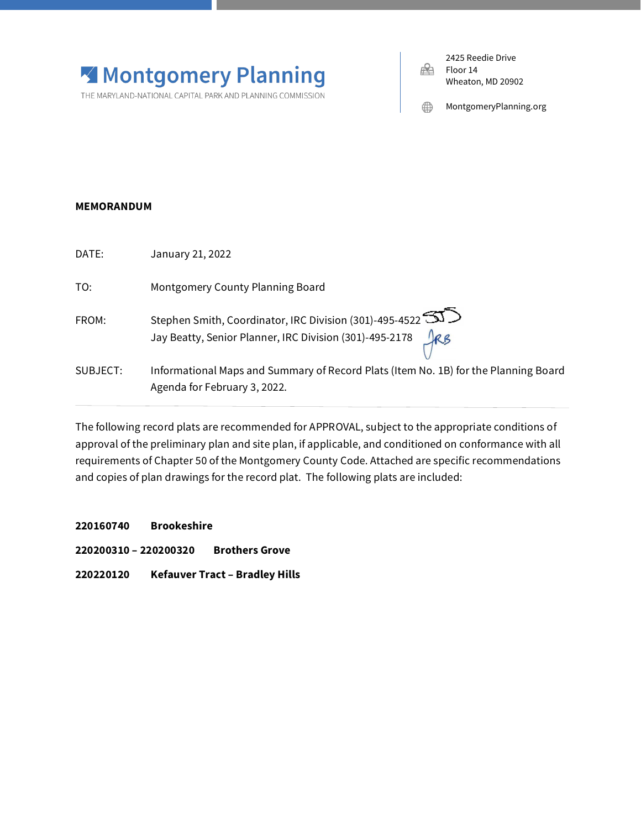

THE MARYLAND-NATIONAL CAPITAL PARK AND PLANNING COMMISSION

2425 Reedie Drive  $\mathbb{R}$ Floor 14 Wheaton, MD 20902

⊕ MontgomeryPlanning.org

## **MEMORANDUM**

| DATE:    | January 21, 2022                                                                                                                      |
|----------|---------------------------------------------------------------------------------------------------------------------------------------|
| TO:      | Montgomery County Planning Board                                                                                                      |
| FROM:    | Stephen Smith, Coordinator, IRC Division (301)-495-4522 $\mathfrak{S}$<br>Jay Beatty, Senior Planner, IRC Division (301)-495-2178 ARB |
| SUBJECT: | Informational Maps and Summary of Record Plats (Item No. 1B) for the Planning Board<br>Agenda for February 3, 2022.                   |

The following record plats are recommended for APPROVAL, subject to the appropriate conditions of approval of the preliminary plan and site plan, if applicable, and conditioned on conformance with all requirements of Chapter 50 of the Montgomery County Code. Attached are specific recommendations and copies of plan drawings for the record plat. The following plats are included:

**220160740 Brookeshire**

**220200310 – 220200320 Brothers Grove**

**220220120 Kefauver Tract – Bradley Hills**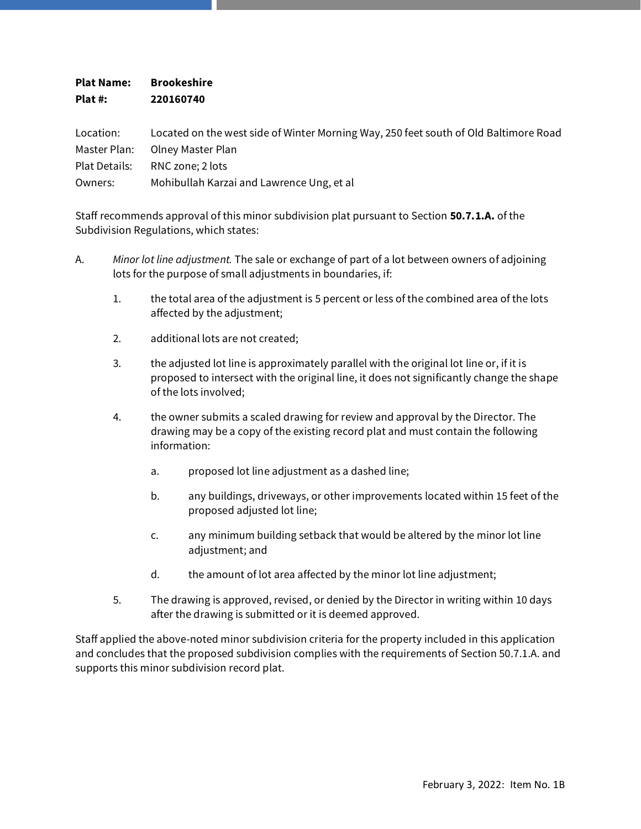| <b>Plat Name:</b> | <b>Brookeshire</b> |
|-------------------|--------------------|
| Plat #:           | 220160740          |

Location: Located on the west side of Winter Morning Way, 250 feet south of Old Baltimore Road Master Plan: Olney Master Plan Plat Details: RNC zone; 2 lots Owners: Mohibullah Karzai and Lawrence Ung, et al

Staff recommends approval of this minor subdivision plat pursuant to Section **50.7.1.A.** of the Subdivision Regulations, which states:

- A. *Minor lot line adjustment.* The sale or exchange of part of a lot between owners of adjoining lots for the purpose of small adjustments in boundaries, if:
	- 1. the total area of the adjustment is 5 percent or less of the combined area of the lots affected by the adjustment;
	- 2. additional lots are not created;
	- 3. the adjusted lot line is approximately parallel with the original lot line or, if it is proposed to intersect with the original line, it does not significantly change the shape of the lots involved;
	- 4. the owner submits a scaled drawing for review and approval by the Director. The drawing may be a copy of the existing record plat and must contain the following information:
		- a. proposed lot line adjustment as a dashed line;
		- b. any buildings, driveways, or other improvements located within 15 feet of the proposed adjusted lot line;
		- c. any minimum building setback that would be altered by the minor lot line adjustment; and
		- d. the amount of lot area affected by the minor lot line adjustment;
	- 5. The drawing is approved, revised, or denied by the Director in writing within 10 days after the drawing is submitted or it is deemed approved.

Staff applied the above-noted minor subdivision criteria for the property included in this application and concludes that the proposed subdivision complies with the requirements of Section 50.7.1.A. and supports this minor subdivision record plat.